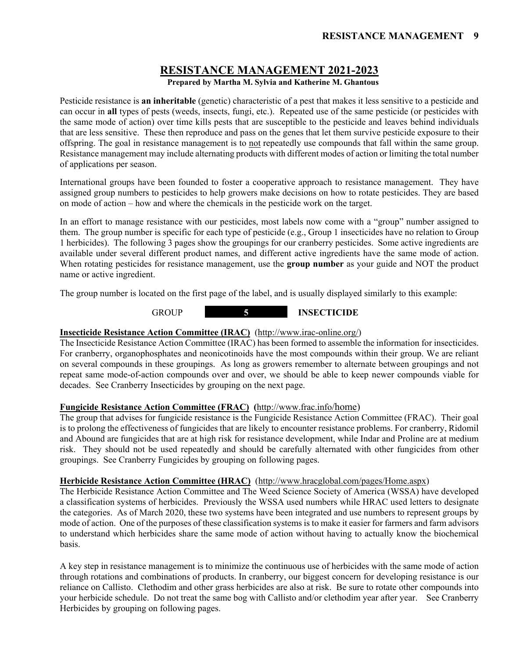## **RESISTANCE MANAGEMENT 2021-2023**

### **Prepared by Martha M. Sylvia and Katherine M. Ghantous**

Pesticide resistance is **an inheritable** (genetic) characteristic of a pest that makes it less sensitive to a pesticide and can occur in **all** types of pests (weeds, insects, fungi, etc.). Repeated use of the same pesticide (or pesticides with the same mode of action) over time kills pests that are susceptible to the pesticide and leaves behind individuals that are less sensitive. These then reproduce and pass on the genes that let them survive pesticide exposure to their offspring. The goal in resistance management is to not repeatedly use compounds that fall within the same group. Resistance management may include alternating products with different modes of action or limiting the total number of applications per season.

International groups have been founded to foster a cooperative approach to resistance management. They have assigned group numbers to pesticides to help growers make decisions on how to rotate pesticides. They are based on mode of action – how and where the chemicals in the pesticide work on the target.

In an effort to manage resistance with our pesticides, most labels now come with a "group" number assigned to them. The group number is specific for each type of pesticide (e.g., Group 1 insecticides have no relation to Group 1 herbicides). The following 3 pages show the groupings for our cranberry pesticides. Some active ingredients are available under several different product names, and different active ingredients have the same mode of action. When rotating pesticides for resistance management, use the **group number** as your guide and NOT the product name or active ingredient.

The group number is located on the first page of the label, and is usually displayed similarly to this example:



#### **Insecticide Resistance Action Committee (IRAC)** (http://www.irac-online.org/)

The Insecticide Resistance Action Committee (IRAC) has been formed to assemble the information for insecticides. For cranberry, organophosphates and neonicotinoids have the most compounds within their group. We are reliant on several compounds in these groupings. As long as growers remember to alternate between groupings and not repeat same mode-of-action compounds over and over, we should be able to keep newer compounds viable for decades. See Cranberry Insecticides by grouping on the next page.

#### **Fungicide Resistance Action Committee (FRAC) (**http://www.frac.info/home)

The group that advises for fungicide resistance is the Fungicide Resistance Action Committee (FRAC). Their goal is to prolong the effectiveness of fungicides that are likely to encounter resistance problems. For cranberry, Ridomil and Abound are fungicides that are at high risk for resistance development, while Indar and Proline are at medium risk. They should not be used repeatedly and should be carefully alternated with other fungicides from other groupings. See Cranberry Fungicides by grouping on following pages.

#### **Herbicide Resistance Action Committee (HRAC)** (http://www.hracglobal.com/pages/Home.aspx)

The Herbicide Resistance Action Committee and The Weed Science Society of America (WSSA) have developed a classification systems of herbicides. Previously the WSSA used numbers while HRAC used letters to designate the categories. As of March 2020, these two systems have been integrated and use numbers to represent groups by mode of action. One of the purposes of these classification systems is to make it easier for farmers and farm advisors to understand which herbicides share the same mode of action without having to actually know the biochemical basis.

A key step in resistance management is to minimize the continuous use of herbicides with the same mode of action through rotations and combinations of products. In cranberry, our biggest concern for developing resistance is our reliance on Callisto. Clethodim and other grass herbicides are also at risk. Be sure to rotate other compounds into your herbicide schedule. Do not treat the same bog with Callisto and/or clethodim year after year. See Cranberry Herbicides by grouping on following pages.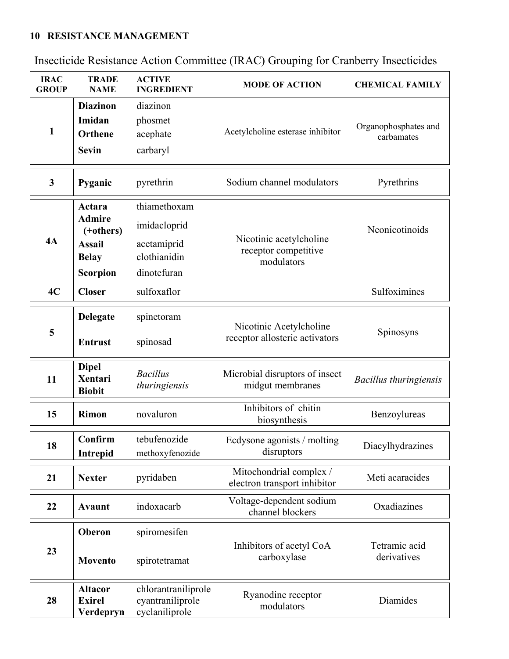## **10 RESISTANCE MANAGEMENT**

| <b>IRAC</b><br><b>GROUP</b> | <b>TRADE</b><br><b>NAME</b>                                                              | <b>ACTIVE</b><br><b>INGREDIENT</b>                                         | <b>MODE OF ACTION</b>                                         | <b>CHEMICAL FAMILY</b>             |  |
|-----------------------------|------------------------------------------------------------------------------------------|----------------------------------------------------------------------------|---------------------------------------------------------------|------------------------------------|--|
| 1                           | <b>Diazinon</b><br>Imidan<br>Orthene<br><b>Sevin</b>                                     | diazinon<br>phosmet<br>acephate<br>carbaryl                                | Acetylcholine esterase inhibitor                              | Organophosphates and<br>carbamates |  |
| 3                           | Pyganic                                                                                  | pyrethrin                                                                  | Sodium channel modulators                                     | Pyrethrins                         |  |
| 4A                          | Actara<br><b>Admire</b><br>(+others)<br><b>Assail</b><br><b>Belay</b><br><b>Scorpion</b> | thiamethoxam<br>imidacloprid<br>acetamiprid<br>clothianidin<br>dinotefuran | Nicotinic acetylcholine<br>receptor competitive<br>modulators | Neonicotinoids                     |  |
| 4C                          | <b>Closer</b>                                                                            | sulfoxaflor                                                                |                                                               | Sulfoximines                       |  |
| 5                           | <b>Delegate</b><br><b>Entrust</b>                                                        | spinetoram<br>spinosad                                                     | Nicotinic Acetylcholine<br>receptor allosteric activators     | Spinosyns                          |  |
| 11                          | <b>Dipel</b><br>Xentari<br><b>Biobit</b>                                                 | <b>Bacillus</b><br>thuringiensis                                           | Microbial disruptors of insect<br>midgut membranes            | <b>Bacillus thuringiensis</b>      |  |
| 15                          | Rimon                                                                                    | novaluron                                                                  | Inhibitors of chitin<br>biosynthesis                          | Benzoylureas                       |  |
| 18                          | Confirm<br><b>Intrepid</b>                                                               | tebufenozide<br>methoxyfenozide                                            | Ecdysone agonists / molting<br>Diacylhydrazines<br>disruptors |                                    |  |
| 21                          | <b>Nexter</b>                                                                            | pyridaben                                                                  | Mitochondrial complex /<br>electron transport inhibitor       | Meti acaracides                    |  |
| 22                          | <b>Avaunt</b>                                                                            | indoxacarb                                                                 | Voltage-dependent sodium<br>channel blockers                  | Oxadiazines                        |  |
| 23                          | Oberon<br>Movento                                                                        | spiromesifen<br>spirotetramat                                              | Inhibitors of acetyl CoA<br>carboxylase                       | Tetramic acid<br>derivatives       |  |
| 28                          | <b>Altacor</b><br><b>Exirel</b><br>Verdepryn                                             | chlorantraniliprole<br>cyantraniliprole<br>cyclaniliprole                  | Ryanodine receptor<br>modulators                              | Diamides                           |  |

Insecticide Resistance Action Committee (IRAC) Grouping for Cranberry Insecticides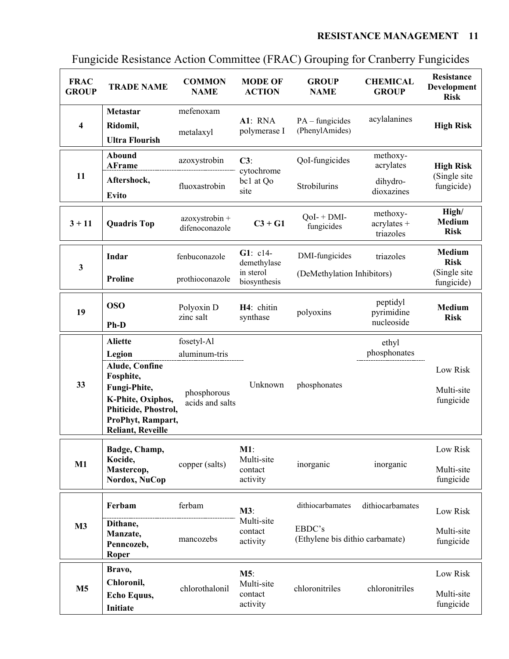## **RESISTANCE MANAGEMENT 11**

| <b>FRAC</b><br><b>GROUP</b> | <b>TRADE NAME</b>                                                                                                                         | <b>COMMON</b><br><b>NAME</b>     | <b>MODE OF</b><br><b>ACTION</b>                         | <b>GROUP</b><br><b>NAME</b>               | <b>CHEMICAL</b><br><b>GROUP</b>        | Resistance<br>Development<br><b>Risk</b> |
|-----------------------------|-------------------------------------------------------------------------------------------------------------------------------------------|----------------------------------|---------------------------------------------------------|-------------------------------------------|----------------------------------------|------------------------------------------|
| 4                           | Metastar                                                                                                                                  | mefenoxam                        |                                                         | $PA$ – fungicides<br>(PhenylAmides)       | acylalanines                           |                                          |
|                             | Ridomil,                                                                                                                                  | metalaxyl                        | A1: RNA<br>polymerase I                                 |                                           |                                        | <b>High Risk</b>                         |
|                             | <b>Ultra Flourish</b>                                                                                                                     |                                  |                                                         |                                           |                                        |                                          |
| 11                          | <b>Abound</b><br><b>AFrame</b>                                                                                                            | azoxystrobin                     | C3:<br>cytochrome                                       | QoI-fungicides                            | methoxy-<br>acrylates                  | <b>High Risk</b>                         |
|                             | Aftershock,<br><b>Evito</b>                                                                                                               | fluoxastrobin                    | bc1 at Qo<br>site                                       | Strobilurins                              | dihydro-<br>dioxazines                 | (Single site<br>fungicide)               |
| $3 + 11$                    | <b>Quadris Top</b>                                                                                                                        | azoxystrobin +<br>difenoconazole | $C3 + G1$                                               | $QoI - + DMI -$<br>fungicides             | methoxy-<br>$acrylates +$<br>triazoles | High/<br><b>Medium</b><br><b>Risk</b>    |
| $\mathbf{3}$                | Indar                                                                                                                                     | fenbuconazole                    | $G1: c14-$<br>demethylase                               | DMI-fungicides                            | triazoles                              | <b>Medium</b><br><b>Risk</b>             |
|                             | <b>Proline</b>                                                                                                                            | prothioconazole                  | in sterol<br>(DeMethylation Inhibitors)<br>biosynthesis |                                           |                                        | (Single site<br>fungicide)               |
| 19                          | <b>OSO</b><br><b>Ph-D</b>                                                                                                                 | Polyoxin D<br>zinc salt          | H4: chitin<br>synthase                                  | polyoxins                                 | peptidyl<br>pyrimidine<br>nucleoside   | <b>Medium</b><br><b>Risk</b>             |
|                             | <b>Aliette</b>                                                                                                                            | fosetyl-Al                       |                                                         |                                           | ethyl                                  |                                          |
|                             | Legion                                                                                                                                    | aluminum-tris                    |                                                         |                                           | phosphonates                           |                                          |
| 33                          | Alude, Confine<br>Fosphite,<br>Fungi-Phite,<br>K-Phite, Oxiphos,<br>Phiticide, Phostrol,<br>ProPhyt, Rampart,<br><b>Reliant, Reveille</b> | phosphorous<br>acids and salts   | Unknown                                                 | phosphonates                              |                                        | Low Risk<br>Multi-site<br>fungicide      |
| $M1$                        | Badge, Champ,<br>Kocide,<br>Mastercop,<br>Nordox, NuCop                                                                                   | copper (salts)                   | $M1$ :<br>Multi-site<br>contact<br>activity             | inorganic                                 | inorganic                              | Low Risk<br>Multi-site<br>fungicide      |
| M3                          | Ferbam                                                                                                                                    | ferbam                           | M3:                                                     | dithiocarbamates                          | dithiocarbamates                       | Low Risk                                 |
|                             | Dithane,<br>Manzate,<br>Penncozeb,<br>Roper                                                                                               | mancozebs                        | Multi-site<br>contact<br>activity                       | EBDC's<br>(Ethylene bis dithio carbamate) |                                        | Multi-site<br>fungicide                  |
| M <sub>5</sub>              | Bravo,<br>Chloronil,<br>Echo Equus,<br><b>Initiate</b>                                                                                    | chlorothalonil                   | M5:<br>Multi-site<br>contact<br>activity                | chloronitriles                            | chloronitriles                         | Low Risk<br>Multi-site<br>fungicide      |

# Fungicide Resistance Action Committee (FRAC) Grouping for Cranberry Fungicides